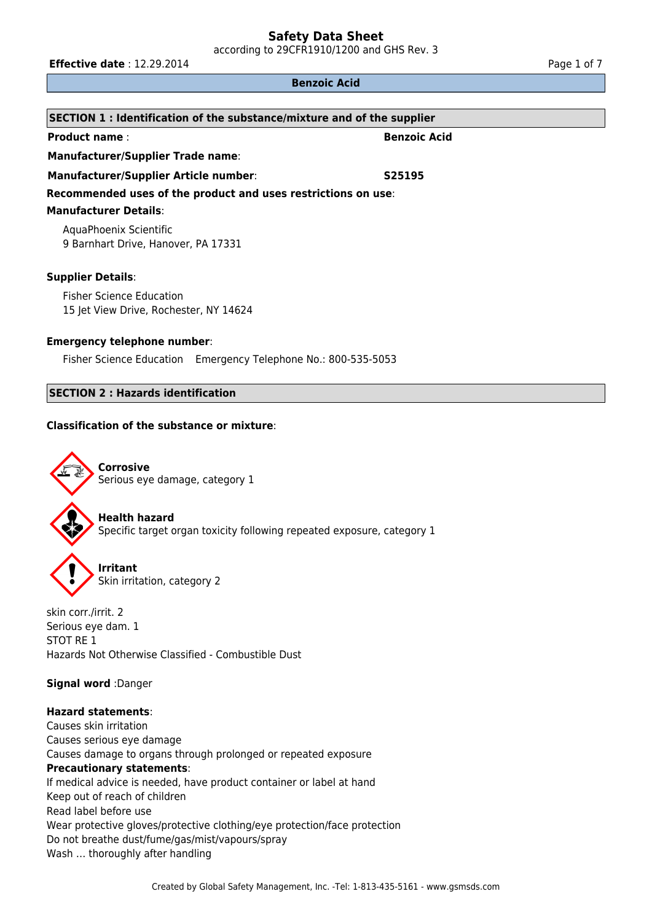according to 29CFR1910/1200 and GHS Rev. 3

**Effective date** : 12.29.2014 **Page 1 of 7 Page 1 of 7** 

#### **Benzoic Acid**

| SECTION 1 : Identification of the substance/mixture and of the supplier |                     |  |  |
|-------------------------------------------------------------------------|---------------------|--|--|
| <b>Product name:</b>                                                    | <b>Benzoic Acid</b> |  |  |
| <b>Manufacturer/Supplier Trade name:</b>                                |                     |  |  |
| <b>Manufacturer/Supplier Article number:</b>                            | S25195              |  |  |
| Recommended uses of the product and uses restrictions on use:           |                     |  |  |
| <b>Manufacturer Details:</b>                                            |                     |  |  |
| AquaPhoenix Scientific<br>9 Barnhart Drive, Hanover, PA 17331           |                     |  |  |
| <b>Supplier Details:</b>                                                |                     |  |  |
|                                                                         |                     |  |  |

Fisher Science Education 15 Jet View Drive, Rochester, NY 14624

## **Emergency telephone number**:

Fisher Science Education Emergency Telephone No.: 800-535-5053

## **SECTION 2 : Hazards identification**

## **Classification of the substance or mixture**:



**Corrosive** Serious eye damage, category 1

**Health hazard** Specific target organ toxicity following repeated exposure, category 1



**Irritant** Skin irritation, category 2

skin corr./irrit. 2 Serious eye dam. 1 STOT RE 1 Hazards Not Otherwise Classified - Combustible Dust

**Signal word** :Danger

# **Hazard statements**:

Causes skin irritation Causes serious eye damage Causes damage to organs through prolonged or repeated exposure **Precautionary statements**: If medical advice is needed, have product container or label at hand Keep out of reach of children Read label before use Wear protective gloves/protective clothing/eye protection/face protection Do not breathe dust/fume/gas/mist/vapours/spray Wash … thoroughly after handling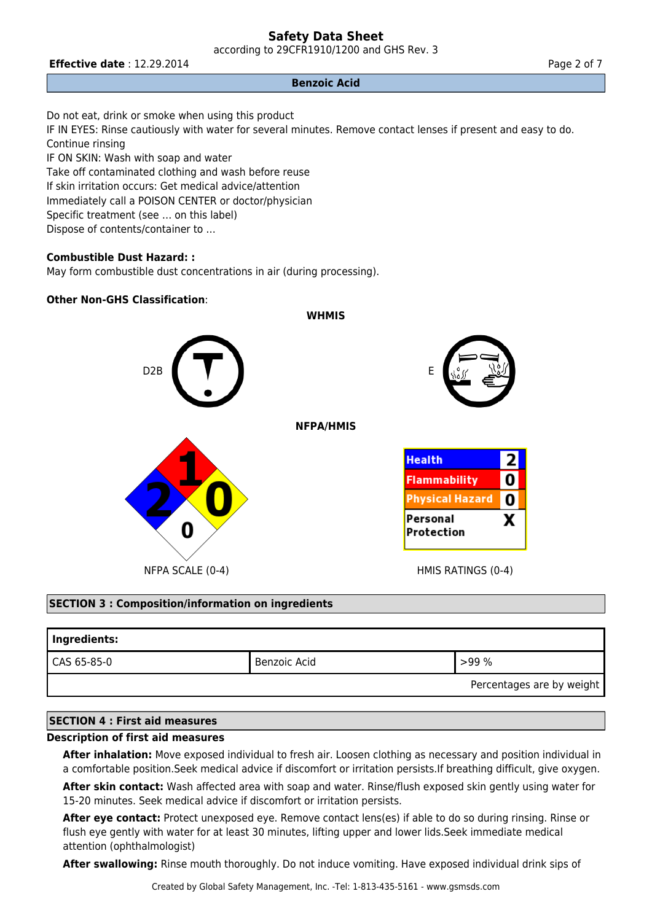according to 29CFR1910/1200 and GHS Rev. 3

## **Effective date** : 12.29.2014 **Page 2 of 7 Page 2 of 7**

## **Benzoic Acid**

Do not eat, drink or smoke when using this product IF IN EYES: Rinse cautiously with water for several minutes. Remove contact lenses if present and easy to do. Continue rinsing IF ON SKIN: Wash with soap and water Take off contaminated clothing and wash before reuse If skin irritation occurs: Get medical advice/attention Immediately call a POISON CENTER or doctor/physician Specific treatment (see … on this label)

Dispose of contents/container to …

# **Combustible Dust Hazard: :**

May form combustible dust concentrations in air (during processing).

## **Other Non-GHS Classification**:



## **SECTION 3 : Composition/information on ingredients**

| Ingredients: |              |                           |
|--------------|--------------|---------------------------|
| CAS 65-85-0  | Benzoic Acid | >99%                      |
|              |              | Percentages are by weight |

## **SECTION 4 : First aid measures**

### **Description of first aid measures**

**After inhalation:** Move exposed individual to fresh air. Loosen clothing as necessary and position individual in a comfortable position.Seek medical advice if discomfort or irritation persists.If breathing difficult, give oxygen.

**After skin contact:** Wash affected area with soap and water. Rinse/flush exposed skin gently using water for 15-20 minutes. Seek medical advice if discomfort or irritation persists.

**After eye contact:** Protect unexposed eye. Remove contact lens(es) if able to do so during rinsing. Rinse or flush eye gently with water for at least 30 minutes, lifting upper and lower lids.Seek immediate medical attention (ophthalmologist)

**After swallowing:** Rinse mouth thoroughly. Do not induce vomiting. Have exposed individual drink sips of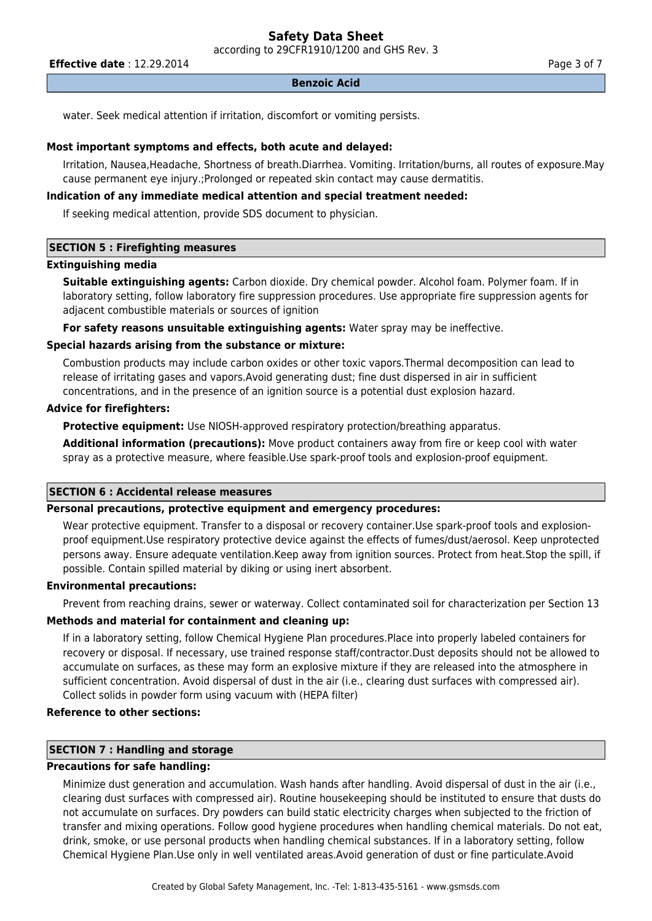according to 29CFR1910/1200 and GHS Rev. 3

**Effective date** : 12.29.2014 **Page 3 of 7 Page 3 of 7** 

#### **Benzoic Acid**

water. Seek medical attention if irritation, discomfort or vomiting persists.

#### **Most important symptoms and effects, both acute and delayed:**

Irritation, Nausea,Headache, Shortness of breath.Diarrhea. Vomiting. Irritation/burns, all routes of exposure.May cause permanent eye injury.;Prolonged or repeated skin contact may cause dermatitis.

### **Indication of any immediate medical attention and special treatment needed:**

If seeking medical attention, provide SDS document to physician.

#### **SECTION 5 : Firefighting measures**

#### **Extinguishing media**

**Suitable extinguishing agents:** Carbon dioxide. Dry chemical powder. Alcohol foam. Polymer foam. If in laboratory setting, follow laboratory fire suppression procedures. Use appropriate fire suppression agents for adjacent combustible materials or sources of ignition

**For safety reasons unsuitable extinguishing agents:** Water spray may be ineffective.

#### **Special hazards arising from the substance or mixture:**

Combustion products may include carbon oxides or other toxic vapors.Thermal decomposition can lead to release of irritating gases and vapors.Avoid generating dust; fine dust dispersed in air in sufficient concentrations, and in the presence of an ignition source is a potential dust explosion hazard.

#### **Advice for firefighters:**

**Protective equipment:** Use NIOSH-approved respiratory protection/breathing apparatus.

**Additional information (precautions):** Move product containers away from fire or keep cool with water spray as a protective measure, where feasible.Use spark-proof tools and explosion-proof equipment.

#### **SECTION 6 : Accidental release measures**

#### **Personal precautions, protective equipment and emergency procedures:**

Wear protective equipment. Transfer to a disposal or recovery container.Use spark-proof tools and explosionproof equipment.Use respiratory protective device against the effects of fumes/dust/aerosol. Keep unprotected persons away. Ensure adequate ventilation.Keep away from ignition sources. Protect from heat.Stop the spill, if possible. Contain spilled material by diking or using inert absorbent.

## **Environmental precautions:**

Prevent from reaching drains, sewer or waterway. Collect contaminated soil for characterization per Section 13

#### **Methods and material for containment and cleaning up:**

If in a laboratory setting, follow Chemical Hygiene Plan procedures.Place into properly labeled containers for recovery or disposal. If necessary, use trained response staff/contractor.Dust deposits should not be allowed to accumulate on surfaces, as these may form an explosive mixture if they are released into the atmosphere in sufficient concentration. Avoid dispersal of dust in the air (i.e., clearing dust surfaces with compressed air). Collect solids in powder form using vacuum with (HEPA filter)

## **Reference to other sections:**

# **SECTION 7 : Handling and storage**

## **Precautions for safe handling:**

Minimize dust generation and accumulation. Wash hands after handling. Avoid dispersal of dust in the air (i.e., clearing dust surfaces with compressed air). Routine housekeeping should be instituted to ensure that dusts do not accumulate on surfaces. Dry powders can build static electricity charges when subjected to the friction of transfer and mixing operations. Follow good hygiene procedures when handling chemical materials. Do not eat, drink, smoke, or use personal products when handling chemical substances. If in a laboratory setting, follow Chemical Hygiene Plan.Use only in well ventilated areas.Avoid generation of dust or fine particulate.Avoid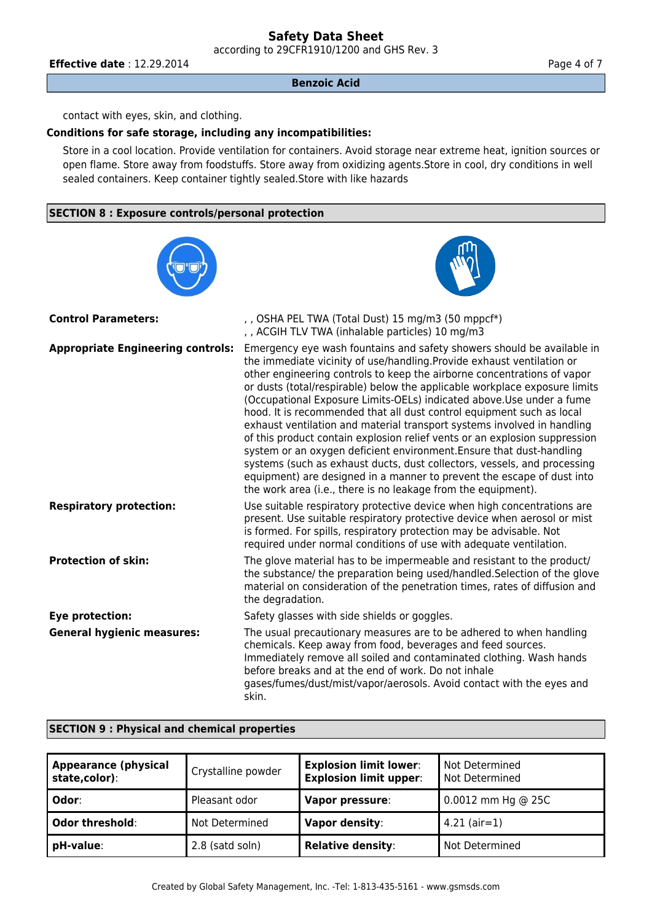according to 29CFR1910/1200 and GHS Rev. 3

**Effective date** : 12.29.2014 **Page 4 of 7 Page 4 of 7** 

#### **Benzoic Acid**

contact with eyes, skin, and clothing.

## **Conditions for safe storage, including any incompatibilities:**

Store in a cool location. Provide ventilation for containers. Avoid storage near extreme heat, ignition sources or open flame. Store away from foodstuffs. Store away from oxidizing agents.Store in cool, dry conditions in well sealed containers. Keep container tightly sealed.Store with like hazards

## **SECTION 8 : Exposure controls/personal protection**

| <b>Control Parameters:</b>               | , , OSHA PEL TWA (Total Dust) 15 mg/m3 (50 mppcf*)<br>, , ACGIH TLV TWA (inhalable particles) 10 mg/m3                                                                                                                                                                                                                                                                                                                                                                                                                                                                                                                                                                                                                                                                                                                                                                                                              |
|------------------------------------------|---------------------------------------------------------------------------------------------------------------------------------------------------------------------------------------------------------------------------------------------------------------------------------------------------------------------------------------------------------------------------------------------------------------------------------------------------------------------------------------------------------------------------------------------------------------------------------------------------------------------------------------------------------------------------------------------------------------------------------------------------------------------------------------------------------------------------------------------------------------------------------------------------------------------|
| <b>Appropriate Engineering controls:</b> | Emergency eye wash fountains and safety showers should be available in<br>the immediate vicinity of use/handling. Provide exhaust ventilation or<br>other engineering controls to keep the airborne concentrations of vapor<br>or dusts (total/respirable) below the applicable workplace exposure limits<br>(Occupational Exposure Limits-OELs) indicated above. Use under a fume<br>hood. It is recommended that all dust control equipment such as local<br>exhaust ventilation and material transport systems involved in handling<br>of this product contain explosion relief vents or an explosion suppression<br>system or an oxygen deficient environment. Ensure that dust-handling<br>systems (such as exhaust ducts, dust collectors, vessels, and processing<br>equipment) are designed in a manner to prevent the escape of dust into<br>the work area (i.e., there is no leakage from the equipment). |
| <b>Respiratory protection:</b>           | Use suitable respiratory protective device when high concentrations are<br>present. Use suitable respiratory protective device when aerosol or mist<br>is formed. For spills, respiratory protection may be advisable. Not<br>required under normal conditions of use with adequate ventilation.                                                                                                                                                                                                                                                                                                                                                                                                                                                                                                                                                                                                                    |
| <b>Protection of skin:</b>               | The glove material has to be impermeable and resistant to the product/<br>the substance/ the preparation being used/handled. Selection of the glove<br>material on consideration of the penetration times, rates of diffusion and<br>the degradation.                                                                                                                                                                                                                                                                                                                                                                                                                                                                                                                                                                                                                                                               |
| Eye protection:                          | Safety glasses with side shields or goggles.                                                                                                                                                                                                                                                                                                                                                                                                                                                                                                                                                                                                                                                                                                                                                                                                                                                                        |
| <b>General hygienic measures:</b>        | The usual precautionary measures are to be adhered to when handling<br>chemicals. Keep away from food, beverages and feed sources.<br>Immediately remove all soiled and contaminated clothing. Wash hands<br>before breaks and at the end of work. Do not inhale<br>gases/fumes/dust/mist/vapor/aerosols. Avoid contact with the eyes and<br>skin.                                                                                                                                                                                                                                                                                                                                                                                                                                                                                                                                                                  |

### **SECTION 9 : Physical and chemical properties**

| <b>Appearance (physical</b><br>state,color): | Crystalline powder | <b>Explosion limit lower:</b><br><b>Explosion limit upper:</b> | Not Determined<br>Not Determined |
|----------------------------------------------|--------------------|----------------------------------------------------------------|----------------------------------|
| Odor:                                        | Pleasant odor      | Vapor pressure:                                                | $0.0012$ mm Hg @ 25C             |
| <b>Odor threshold:</b>                       | Not Determined     | <b>Vapor density:</b>                                          | $4.21$ (air=1)                   |
| pH-value:                                    | 2.8 (satd soln)    | <b>Relative density:</b>                                       | Not Determined                   |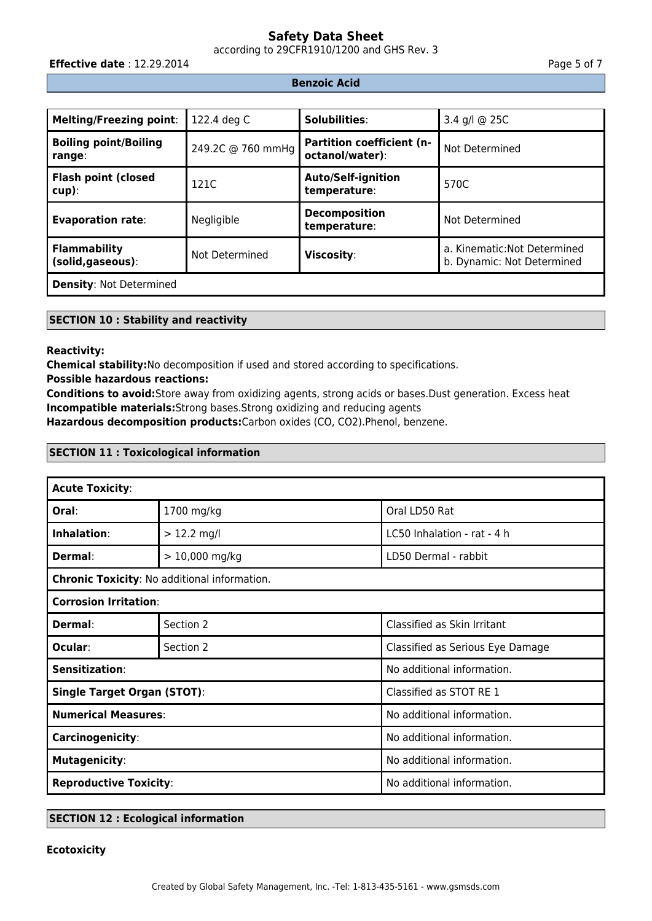according to 29CFR1910/1200 and GHS Rev. 3

**Effective date** : 12.29.2014 **Page 5 of 7 Page 5 of 7** 

## **Benzoic Acid**

| <b>Melting/Freezing point:</b>           | 122.4 deg C       | Solubilities:                                       | 3.4 g/l @ 25C                                              |
|------------------------------------------|-------------------|-----------------------------------------------------|------------------------------------------------------------|
| <b>Boiling point/Boiling</b><br>range:   | 249.2C @ 760 mmHg | <b>Partition coefficient (n-</b><br>octanol/water): | Not Determined                                             |
| <b>Flash point (closed</b><br>$cup$ ):   | 121C              | <b>Auto/Self-ignition</b><br>temperature:           | 570C                                                       |
| <b>Evaporation rate:</b>                 | Negligible        | <b>Decomposition</b><br>temperature:                | Not Determined                                             |
| <b>Flammability</b><br>(solid, gaseous): | Not Determined    | Viscosity:                                          | a. Kinematic: Not Determined<br>b. Dynamic: Not Determined |
| <b>Density: Not Determined</b>           |                   |                                                     |                                                            |

## **SECTION 10 : Stability and reactivity**

## **Reactivity:**

**Chemical stability:**No decomposition if used and stored according to specifications.

**Possible hazardous reactions:**

**Conditions to avoid:**Store away from oxidizing agents, strong acids or bases.Dust generation. Excess heat **Incompatible materials:**Strong bases.Strong oxidizing and reducing agents

**Hazardous decomposition products:**Carbon oxides (CO, CO2).Phenol, benzene.

## **SECTION 11 : Toxicological information**

| <b>Acute Toxicity:</b>             |                                              |                                  |  |  |
|------------------------------------|----------------------------------------------|----------------------------------|--|--|
| Oral:                              | 1700 mg/kg                                   | Oral LD50 Rat                    |  |  |
| Inhalation:                        | $> 12.2$ mg/l                                | LC50 Inhalation - rat - 4 h      |  |  |
| Dermal:                            | $> 10,000$ mg/kg                             | LD50 Dermal - rabbit             |  |  |
|                                    | Chronic Toxicity: No additional information. |                                  |  |  |
| <b>Corrosion Irritation:</b>       |                                              |                                  |  |  |
| <b>Dermal:</b>                     | Section 2                                    | Classified as Skin Irritant      |  |  |
| Ocular:                            | Section 2                                    | Classified as Serious Eye Damage |  |  |
| <b>Sensitization:</b>              |                                              | No additional information.       |  |  |
| <b>Single Target Organ (STOT):</b> |                                              | Classified as STOT RE 1          |  |  |
| <b>Numerical Measures:</b>         |                                              | No additional information.       |  |  |
| <b>Carcinogenicity:</b>            |                                              | No additional information.       |  |  |
| <b>Mutagenicity:</b>               |                                              | No additional information.       |  |  |
| <b>Reproductive Toxicity:</b>      |                                              | No additional information.       |  |  |

## **SECTION 12 : Ecological information**

### **Ecotoxicity**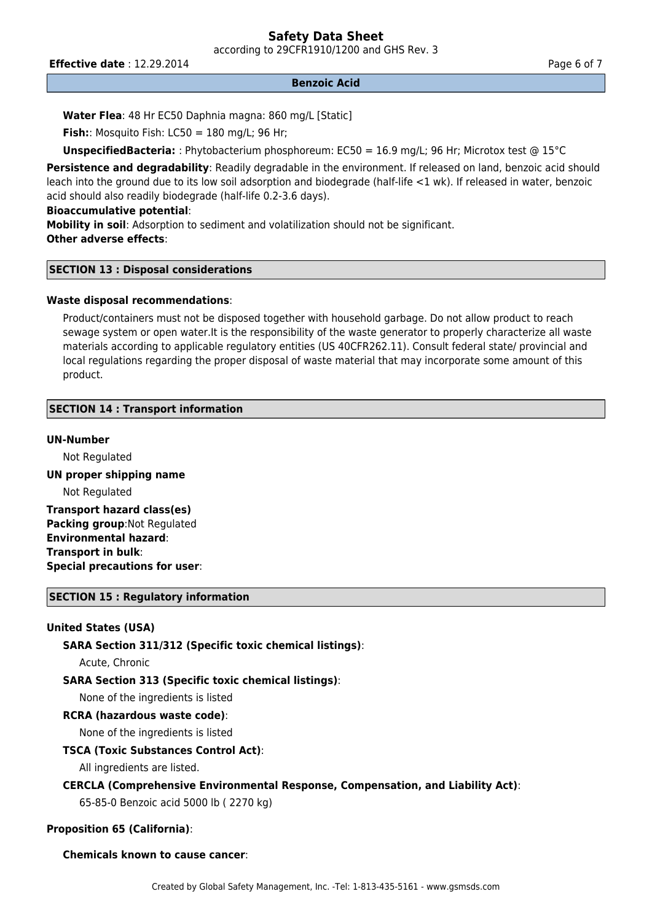according to 29CFR1910/1200 and GHS Rev. 3

**Effective date** : 12.29.2014 **Page 6 of 7 Page 6 of 7** 

#### **Benzoic Acid**

**Water Flea**: 48 Hr EC50 Daphnia magna: 860 mg/L [Static]

**Fish:**: Mosquito Fish: LC50 = 180 mg/L; 96 Hr;

**UnspecifiedBacteria:** : Phytobacterium phosphoreum: EC50 = 16.9 mg/L; 96 Hr; Microtox test @ 15°C

Persistence and degradability: Readily degradable in the environment. If released on land, benzoic acid should leach into the ground due to its low soil adsorption and biodegrade (half-life <1 wk). If released in water, benzoic acid should also readily biodegrade (half-life 0.2-3.6 days).

## **Bioaccumulative potential**:

**Mobility in soil**: Adsorption to sediment and volatilization should not be significant. **Other adverse effects**:

## **SECTION 13 : Disposal considerations**

## **Waste disposal recommendations**:

Product/containers must not be disposed together with household garbage. Do not allow product to reach sewage system or open water.It is the responsibility of the waste generator to properly characterize all waste materials according to applicable regulatory entities (US 40CFR262.11). Consult federal state/ provincial and local regulations regarding the proper disposal of waste material that may incorporate some amount of this product.

## **SECTION 14 : Transport information**

### **UN-Number**

Not Regulated

## **UN proper shipping name**

Not Regulated

**Transport hazard class(es) Packing group:Not Regulated Environmental hazard**: **Transport in bulk**: **Special precautions for user**:

### **SECTION 15 : Regulatory information**

## **United States (USA)**

**SARA Section 311/312 (Specific toxic chemical listings)**:

Acute, Chronic

**SARA Section 313 (Specific toxic chemical listings)**:

None of the ingredients is listed

### **RCRA (hazardous waste code)**:

None of the ingredients is listed

### **TSCA (Toxic Substances Control Act)**:

All ingredients are listed.

# **CERCLA (Comprehensive Environmental Response, Compensation, and Liability Act)**:

65-85-0 Benzoic acid 5000 lb ( 2270 kg)

## **Proposition 65 (California)**:

### **Chemicals known to cause cancer**: